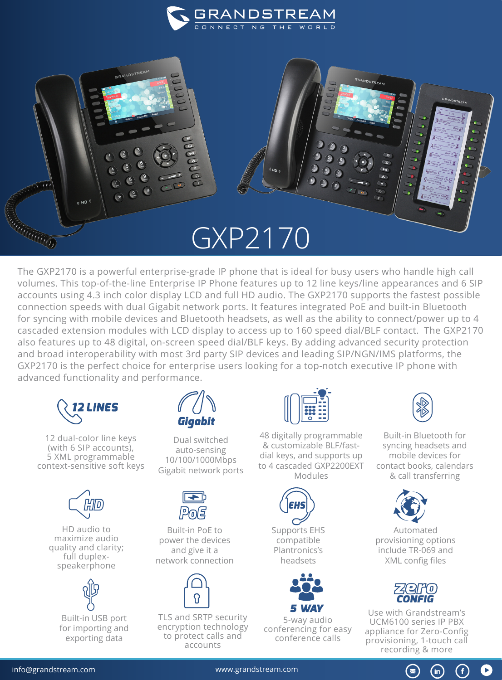

## GXP2170

The GXP2170 is a powerful enterprise-grade IP phone that is ideal for busy users who handle high call volumes. This top-of-the-line Enterprise IP Phone features up to 12 line keys/line appearances and 6 SIP accounts using 4.3 inch color display LCD and full HD audio. The GXP2170 supports the fastest possible connection speeds with dual Gigabit network ports. It features integrated PoE and built-in Bluetooth for syncing with mobile devices and Bluetooth headsets, as well as the ability to connect/power up to 4 cascaded extension modules with LCD display to access up to 160 speed dial/BLF contact. The GXP2170 also features up to 48 digital, on-screen speed dial/BLF keys. By adding advanced security protection and broad interoperability with most 3rd party SIP devices and leading SIP/NGN/IMS platforms, the GXP2170 is the perfect choice for enterprise users looking for a top-notch executive IP phone with advanced functionality and performance.



RANGO DE CARDIO

GRANDSTREAM

12 dual-color line keys (with 6 SIP accounts), 5 XML programmable context-sensitive soft keys



HD audio to maximize audio quality and clarity; full duplexspeakerphone



Built-in USB port for importing and exporting data



Dual switched auto-sensing 10/100/1000Mbps Gigabit network ports



Built-in PoE to power the devices and give it a network connection



TLS and SRTP security encryption technology to protect calls and accounts



48 digitally programmable & customizable BLF/fastdial keys, and supports up to 4 cascaded GXP2200EXT Modules





5-way audio conferencing for easy conference calls

GRANDSTREAM

Built-in Bluetooth for syncing headsets and mobile devices for contact books, calendars & call transferring



Automated provisioning options include TR-069 and XML config files



Use with Grandstream's UCM6100 series IP PBX appliance for Zero-Config provisioning, 1-touch call recording & more

(in

[info@grandstream.com](https://www.grandstream.com/) www.grandstream.com